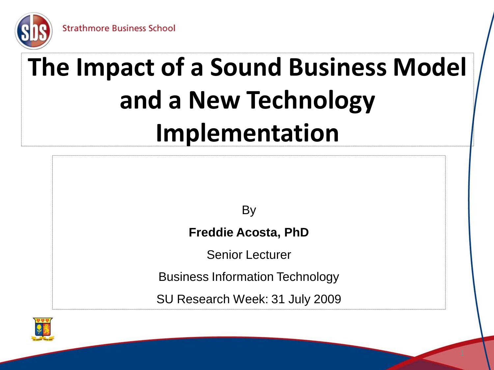

### **The Impact of a Sound Business Model and a New Technology Implementation**

**By** 

**Freddie Acosta, PhD**

Senior Lecturer

Business Information Technology

SU Research Week: 31 July 2009

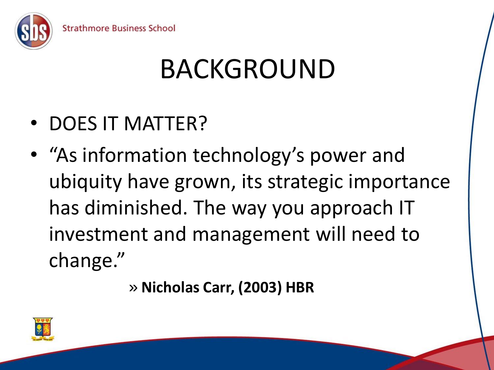

## BACKGROUND

- DOES IT MATTER?
- "As information technology's power and ubiquity have grown, its strategic importance has diminished. The way you approach IT investment and management will need to change."

» **Nicholas Carr, (2003) HBR**

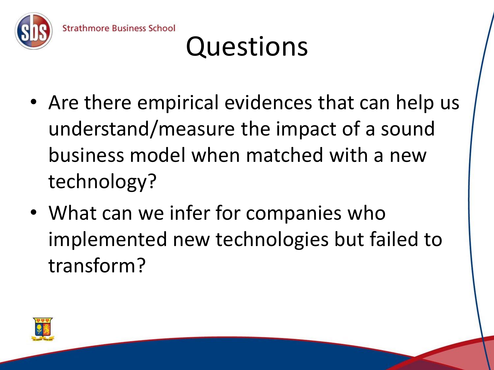

- Are there empirical evidences that can help us understand/measure the impact of a sound business model when matched with a new technology?
- What can we infer for companies who implemented new technologies but failed to transform?

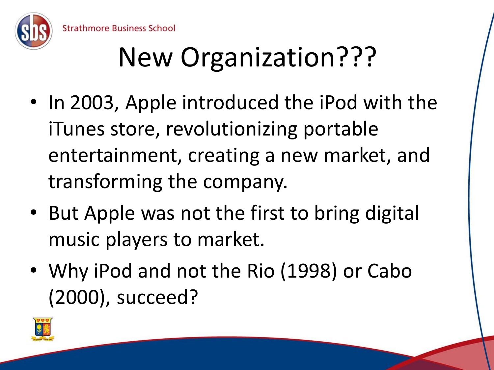

## New Organization???

- In 2003, Apple introduced the iPod with the iTunes store, revolutionizing portable entertainment, creating a new market, and transforming the company.
- But Apple was not the first to bring digital music players to market.
- Why iPod and not the Rio (1998) or Cabo (2000), succeed?

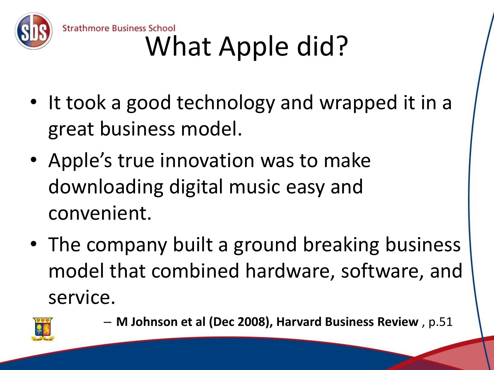

### **Strathmore Business School** What Apple did?

- It took a good technology and wrapped it in a great business model.
- Apple's true innovation was to make downloading digital music easy and convenient.
- The company built a ground breaking business model that combined hardware, software, and service.



– **M Johnson et al (Dec 2008), Harvard Business Review** , p.51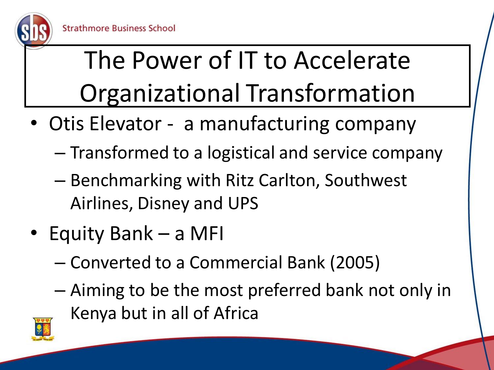

The Power of IT to Accelerate Organizational Transformation

- Otis Elevator a manufacturing company
	- Transformed to a logistical and service company
	- Benchmarking with Ritz Carlton, Southwest Airlines, Disney and UPS
- Equity Bank a MFI

- Converted to a Commercial Bank (2005)
- Aiming to be the most preferred bank not only in Kenya but in all of Africa

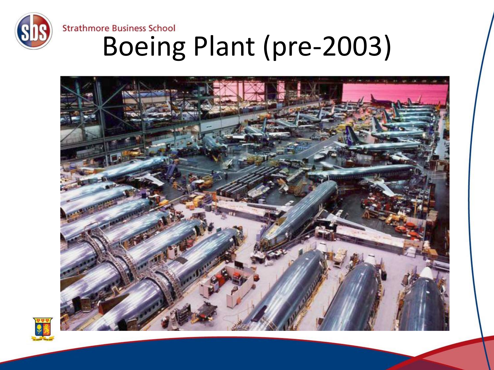

# Strathmore Business School<br>Boeing Plant (pre-2003)



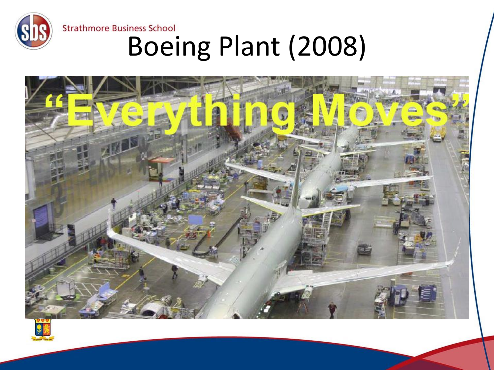



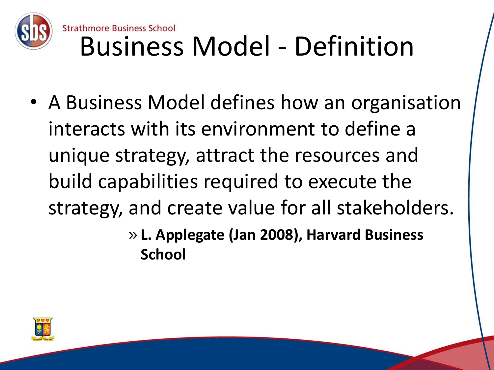

• A Business Model defines how an organisation interacts with its environment to define a unique strategy, attract the resources and build capabilities required to execute the strategy, and create value for all stakeholders.

> » **L. Applegate (Jan 2008), Harvard Business School**

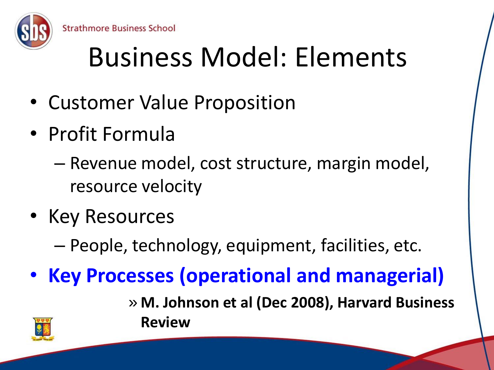

## Business Model: Elements

- Customer Value Proposition
- Profit Formula

- Revenue model, cost structure, margin model, resource velocity
- Key Resources
	- People, technology, equipment, facilities, etc.
- **Key Processes (operational and managerial)**
	- » **M. Johnson et al (Dec 2008), Harvard Business Review**

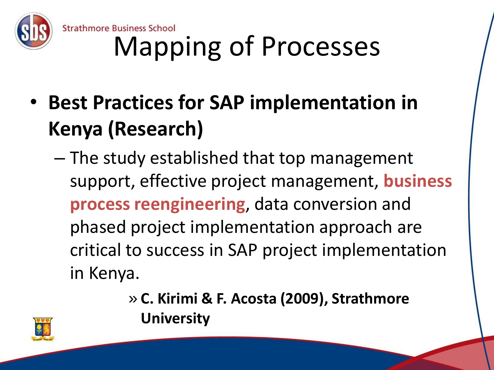

Strathmore Business School<br>Mapping of Processes

- **Best Practices for SAP implementation in Kenya (Research)**
	- The study established that top management support, effective project management, **business process reengineering**, data conversion and phased project implementation approach are critical to success in SAP project implementation in Kenya.
		- » **C. Kirimi & F. Acosta (2009), Strathmore University**

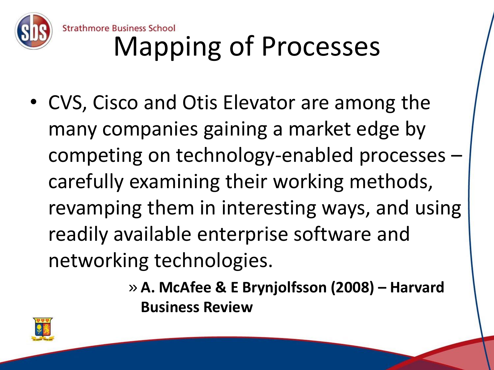

### **Strathmore Business School** Mapping of Processes

• CVS, Cisco and Otis Elevator are among the many companies gaining a market edge by competing on technology-enabled processes – carefully examining their working methods, revamping them in interesting ways, and using readily available enterprise software and networking technologies.

> » **A. McAfee & E Brynjolfsson (2008) – Harvard Business Review**

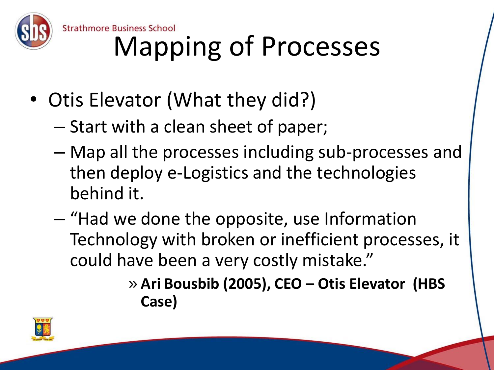

Strathmore Business School<br>Mapping of Processes

- Otis Elevator (What they did?)
	- Start with a clean sheet of paper;
	- Map all the processes including sub-processes and then deploy e-Logistics and the technologies behind it.
	- "Had we done the opposite, use Information Technology with broken or inefficient processes, it could have been a very costly mistake."

» **Ari Bousbib (2005), CEO – Otis Elevator (HBS Case)**

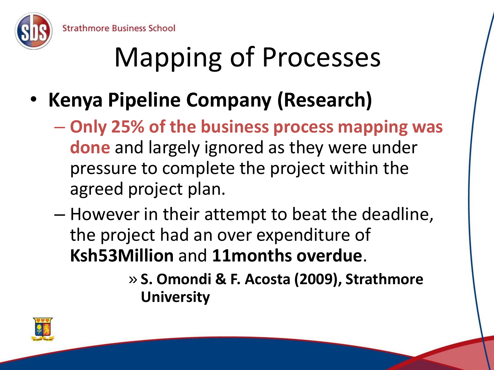

## Mapping of Processes

- **Kenya Pipeline Company (Research)**
	- **Only 25% of the business process mapping was done** and largely ignored as they were under pressure to complete the project within the agreed project plan.
	- However in their attempt to beat the deadline, the project had an over expenditure of **Ksh53Million** and **11months overdue**.
		- » **S. Omondi & F. Acosta (2009), Strathmore University**

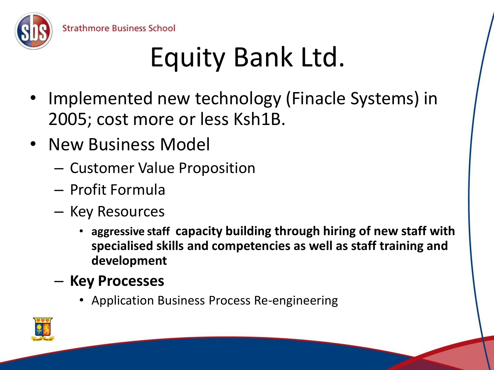

- Implemented new technology (Finacle Systems) in 2005; cost more or less Ksh1B.
- New Business Model

- Customer Value Proposition
- Profit Formula
- Key Resources
	- **aggressive staff capacity building through hiring of new staff with specialised skills and competencies as well as staff training and development**
- **Key Processes**
	- Application Business Process Re-engineering

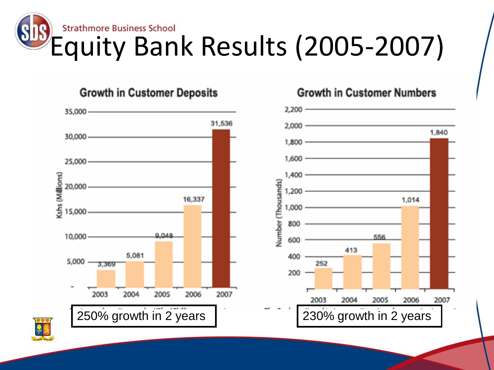



**Growth in Customer Numbers** 

**Growth in Customer Deposits**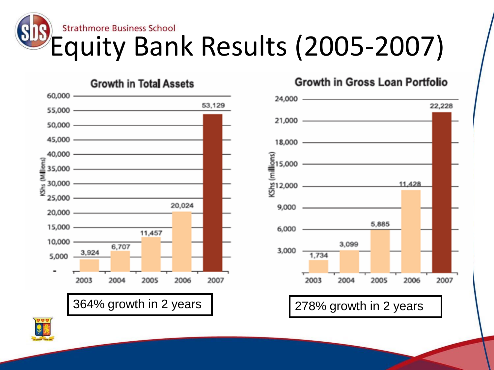### **Strathmore Business School** Equity Bank Results (2005-2007)



#### Growth in Gross Loan Portfolio



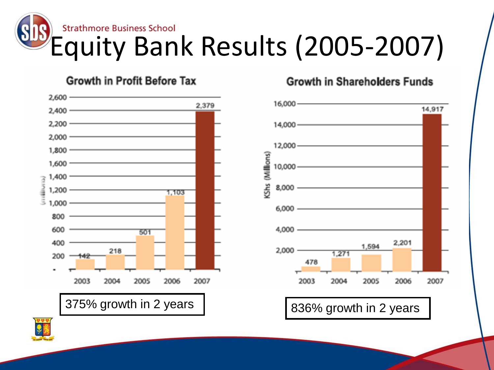### **Strathmore Business School** Equity Bank Results (2005-2007)

#### **Growth in Profit Before Tax**



#### **Growth in Shareholders Funds**



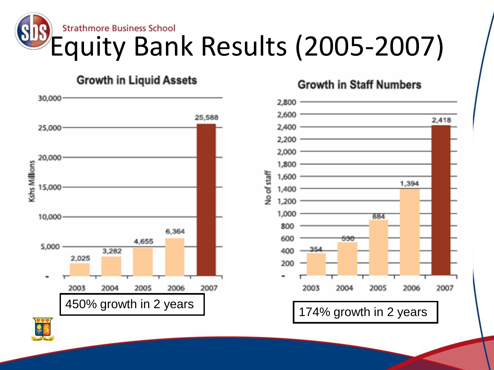# Strathmore Business School<br>Equity Bank Results (2005-2007)

#### **Growth in Liquid Assets**



#### **Growth in Staff Numbers**

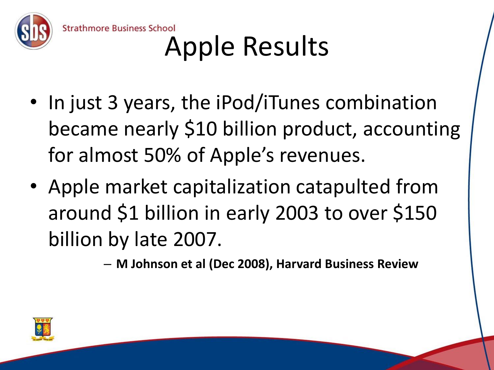

**Strathmore Business School** Apple Results

- In just 3 years, the iPod/iTunes combination became nearly \$10 billion product, accounting for almost 50% of Apple's revenues.
- Apple market capitalization catapulted from around \$1 billion in early 2003 to over \$150 billion by late 2007.

– **M Johnson et al (Dec 2008), Harvard Business Review**

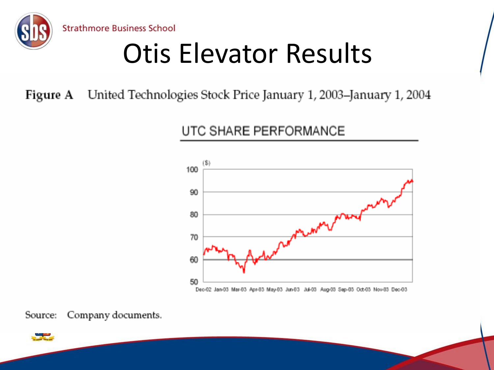

Otis Elevator Results

Figure A United Technologies Stock Price January 1, 2003-January 1, 2004

UTC SHARE PERFORMANCE





Company documents. Source:

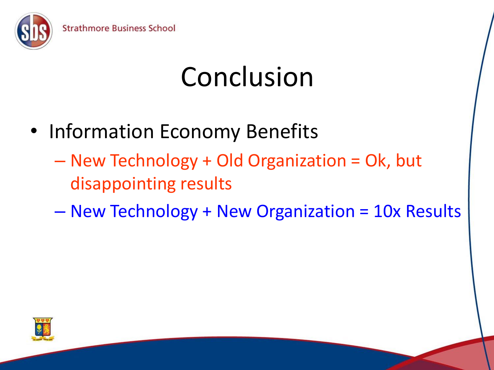

### Conclusion

• Information Economy Benefits

- New Technology + Old Organization = Ok, but disappointing results
- New Technology + New Organization = 10x Results

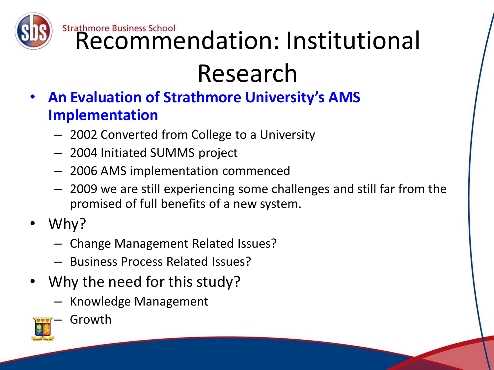

Strathmore Business School<br>Recommendation: Institutional

### Research

- **An Evaluation of Strathmore University's AMS Implementation**
	- 2002 Converted from College to a University
	- 2004 Initiated SUMMS project
	- 2006 AMS implementation commenced
	- 2009 we are still experiencing some challenges and still far from the promised of full benefits of a new system.
- Why?
	- Change Management Related Issues?
	- Business Process Related Issues?
- Why the need for this study?
	- Knowledge Management



**Growth**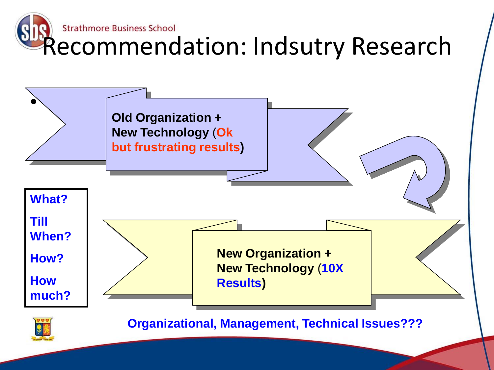

**Organizational, Management, Technical Issues???**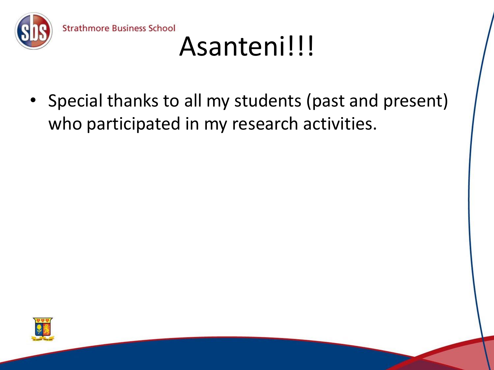

Special thanks to all my students (past and present) who participated in my research activities.